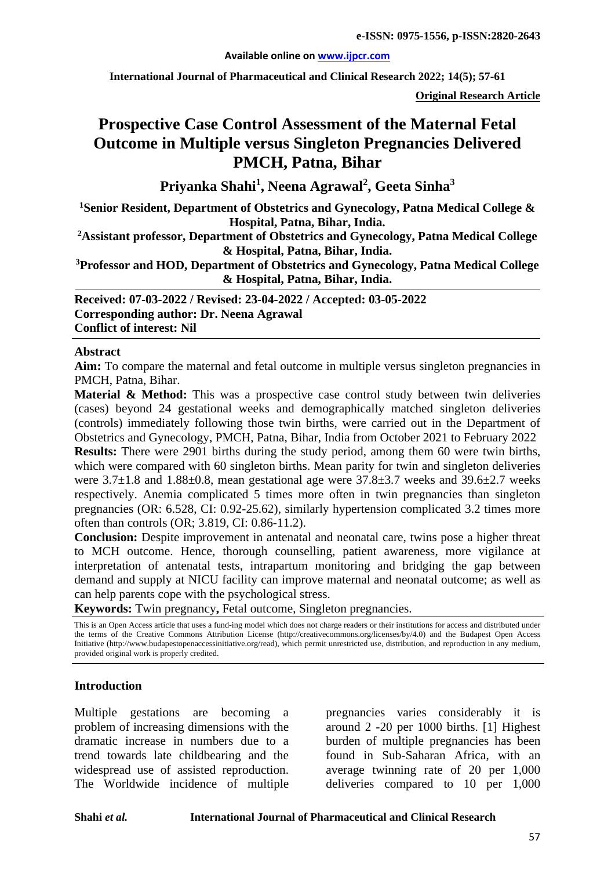#### **Available online on [www.ijpcr.com](http://www.ijpcr.com/)**

**International Journal of Pharmaceutical and Clinical Research 2022; 14(5); 57-61**

**Original Research Article**

# **Prospective Case Control Assessment of the Maternal Fetal Outcome in Multiple versus Singleton Pregnancies Delivered PMCH, Patna, Bihar**

**Priyanka Shahi1 , Neena Agrawal<sup>2</sup> , Geeta Sinha3**

**1 Senior Resident, Department of Obstetrics and Gynecology, Patna Medical College & Hospital, Patna, Bihar, India.**

**2Assistant professor, Department of Obstetrics and Gynecology, Patna Medical College & Hospital, Patna, Bihar, India.**

**3 Professor and HOD, Department of Obstetrics and Gynecology, Patna Medical College & Hospital, Patna, Bihar, India.**

**Received: 07-03-2022 / Revised: 23-04-2022 / Accepted: 03-05-2022 Corresponding author: Dr. Neena Agrawal Conflict of interest: Nil**

#### **Abstract**

Aim: To compare the maternal and fetal outcome in multiple versus singleton pregnancies in PMCH, Patna, Bihar.

**Material & Method:** This was a prospective case control study between twin deliveries (cases) beyond 24 gestational weeks and demographically matched singleton deliveries (controls) immediately following those twin births, were carried out in the Department of Obstetrics and Gynecology, PMCH, Patna, Bihar, India from October 2021 to February 2022 **Results:** There were 2901 births during the study period, among them 60 were twin births, which were compared with 60 singleton births. Mean parity for twin and singleton deliveries were  $3.7\pm1.8$  and  $1.88\pm0.8$ , mean gestational age were  $37.8\pm3.7$  weeks and  $39.6\pm2.7$  weeks respectively. Anemia complicated 5 times more often in twin pregnancies than singleton pregnancies (OR: 6.528, CI: 0.92-25.62), similarly hypertension complicated 3.2 times more often than controls (OR; 3.819, CI: 0.86-11.2).

**Conclusion:** Despite improvement in antenatal and neonatal care, twins pose a higher threat to MCH outcome. Hence, thorough counselling, patient awareness, more vigilance at interpretation of antenatal tests, intrapartum monitoring and bridging the gap between demand and supply at NICU facility can improve maternal and neonatal outcome; as well as can help parents cope with the psychological stress.

**Keywords:** Twin pregnancy**,** Fetal outcome, Singleton pregnancies.

This is an Open Access article that uses a fund-ing model which does not charge readers or their institutions for access and distributed under the terms of the Creative Commons Attribution License (http://creativecommons.org/licenses/by/4.0) and the Budapest Open Access Initiative (http://www.budapestopenaccessinitiative.org/read), which permit unrestricted use, distribution, and reproduction in any medium, provided original work is properly credited.

#### **Introduction**

Multiple gestations are becoming a problem of increasing dimensions with the dramatic increase in numbers due to a trend towards late childbearing and the widespread use of assisted reproduction. The Worldwide incidence of multiple pregnancies varies considerably it is around 2 -20 per 1000 births. [1] Highest burden of multiple pregnancies has been found in Sub-Saharan Africa, with an average twinning rate of 20 per 1,000 deliveries compared to 10 per 1,000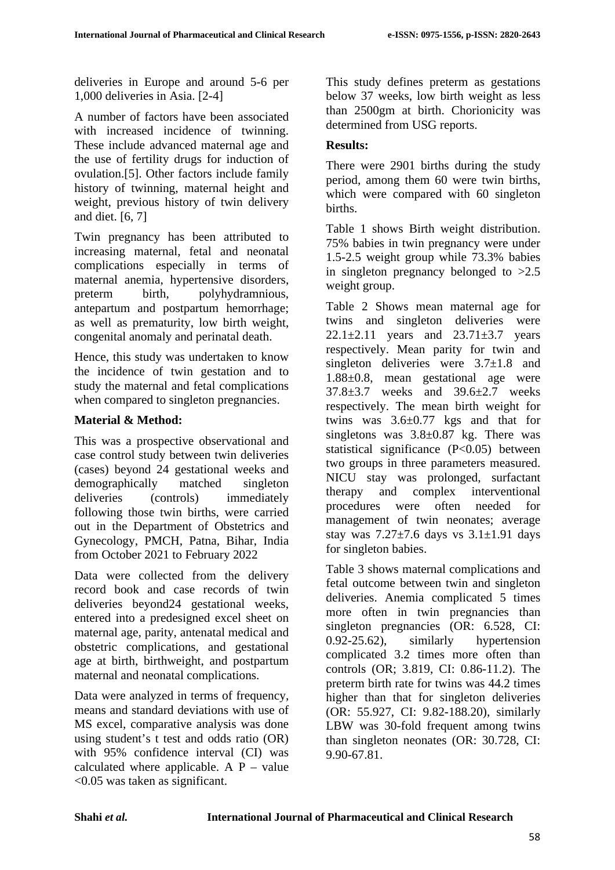deliveries in Europe and around 5-6 per 1,000 deliveries in Asia. [2-4]

A number of factors have been associated with increased incidence of twinning. These include advanced maternal age and the use of fertility drugs for induction of ovulation.[5]. Other factors include family history of twinning, maternal height and weight, previous history of twin delivery and diet. [6, 7]

Twin pregnancy has been attributed to increasing maternal, fetal and neonatal complications especially in terms of maternal anemia, hypertensive disorders, preterm birth, polyhydramnious, antepartum and postpartum hemorrhage; as well as prematurity, low birth weight, congenital anomaly and perinatal death.

Hence, this study was undertaken to know the incidence of twin gestation and to study the maternal and fetal complications when compared to singleton pregnancies.

## **Material & Method:**

This was a prospective observational and case control study between twin deliveries (cases) beyond 24 gestational weeks and demographically matched singleton deliveries (controls) immediately following those twin births, were carried out in the Department of Obstetrics and Gynecology, PMCH, Patna, Bihar, India from October 2021 to February 2022

Data were collected from the delivery record book and case records of twin deliveries beyond24 gestational weeks, entered into a predesigned excel sheet on maternal age, parity, antenatal medical and obstetric complications, and gestational age at birth, birthweight, and postpartum maternal and neonatal complications.

Data were analyzed in terms of frequency, means and standard deviations with use of MS excel, comparative analysis was done using student's t test and odds ratio (OR) with 95% confidence interval (CI) was calculated where applicable. A  $P$  – value <0.05 was taken as significant.

This study defines preterm as gestations below 37 weeks, low birth weight as less than 2500gm at birth. Chorionicity was determined from USG reports.

## **Results:**

There were 2901 births during the study period, among them 60 were twin births, which were compared with 60 singleton births.

Table 1 shows Birth weight distribution. 75% babies in twin pregnancy were under 1.5-2.5 weight group while 73.3% babies in singleton pregnancy belonged to >2.5 weight group.

Table 2 Shows mean maternal age for twins and singleton deliveries were 22.1 $\pm$ 2.11 years and 23.71 $\pm$ 3.7 years respectively. Mean parity for twin and singleton deliveries were  $3.7\pm1.8$  and 1.88±0.8, mean gestational age were 37.8±3.7 weeks and 39.6±2.7 weeks respectively. The mean birth weight for twins was 3.6±0.77 kgs and that for singletons was  $3.8 \pm 0.87$  kg. There was statistical significance (P<0.05) between two groups in three parameters measured. NICU stay was prolonged, surfactant therapy and complex interventional procedures were often needed for management of twin neonates; average stay was  $7.27\pm7.6$  days vs  $3.1\pm1.91$  days for singleton babies.

Table 3 shows maternal complications and fetal outcome between twin and singleton deliveries. Anemia complicated 5 times more often in twin pregnancies than singleton pregnancies (OR: 6.528, CI: 0.92-25.62), similarly hypertension complicated 3.2 times more often than controls (OR; 3.819, CI: 0.86-11.2). The preterm birth rate for twins was 44.2 times higher than that for singleton deliveries (OR: 55.927, CI: 9.82-188.20), similarly LBW was 30-fold frequent among twins than singleton neonates (OR: 30.728, CI: 9.90-67.81.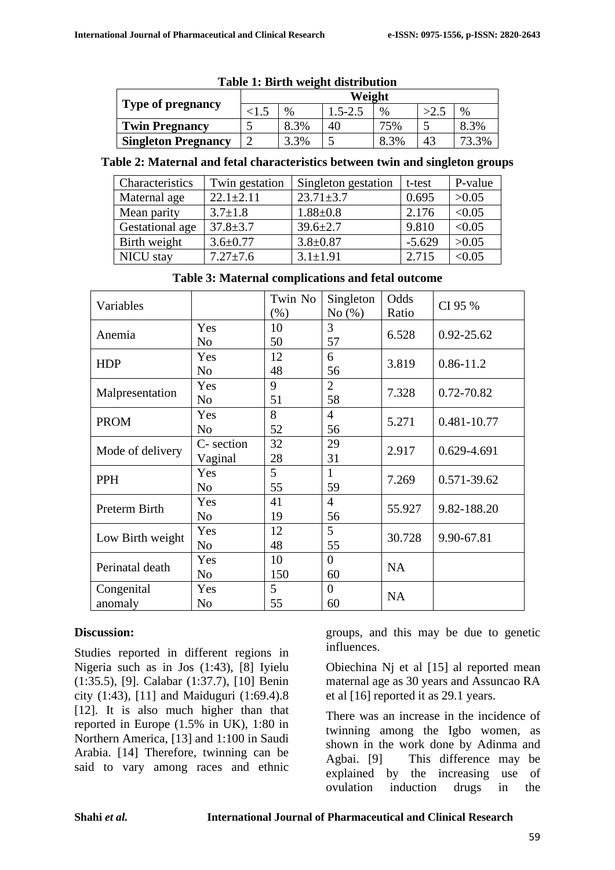| Tuble 1, Dif in Weight and houlon |        |      |             |      |      |       |  |
|-----------------------------------|--------|------|-------------|------|------|-------|--|
|                                   | Weight |      |             |      |      |       |  |
| <b>Type of pregnancy</b>          |        | $\%$ | $1.5 - 2.5$ | $\%$ | >2.1 | $\%$  |  |
| <b>Twin Pregnancy</b>             |        | 8.3% | 40          | 75%  |      | 8.3%  |  |
| <b>Singleton Pregnancy</b>        |        | 3.3% |             | 8.3% | 43   | '3.3% |  |

### **Table 1: Birth weight distribution**

#### **Table 2: Maternal and fetal characteristics between twin and singleton groups**

| Characteristics | Twin gestation  | Singleton gestation | t-test   | P-value |
|-----------------|-----------------|---------------------|----------|---------|
| Maternal age    | $22.1 \pm 2.11$ | $23.71 \pm 3.7$     | 0.695    | >0.05   |
| Mean parity     | $3.7 \pm 1.8$   | $1.88 + 0.8$        | 2.176    | < 0.05  |
| Gestational age | $37.8 \pm 3.7$  | $39.6 \pm 2.7$      | 9.810    | < 0.05  |
| Birth weight    | $3.6 \pm 0.77$  | $3.8 \pm 0.87$      | $-5.629$ | >0.05   |
| NICU stay       | $7.27 \pm 7.6$  | $3.1 \pm 1.91$      | 2.715    | < 0.05  |

### **Table 3: Maternal complications and fetal outcome**

| Variables        |                | Twin No | Singleton      | Odds      | CI 95 %        |  |
|------------------|----------------|---------|----------------|-----------|----------------|--|
|                  |                | (% )    | No(%)          | Ratio     |                |  |
| Anemia           | Yes            | 10      | 3              | 6.528     | $0.92 - 25.62$ |  |
|                  | No             | 50      | 57             |           |                |  |
| <b>HDP</b>       | Yes            | 12      | 6              | 3.819     | $0.86 - 11.2$  |  |
|                  | N <sub>o</sub> | 48      | 56             |           |                |  |
| Malpresentation  | Yes            | 9       | $\overline{2}$ | 7.328     | 0.72-70.82     |  |
|                  | N <sub>o</sub> | 51      | 58             |           |                |  |
| <b>PROM</b>      | Yes            | 8       | 4              | 5.271     | 0.481-10.77    |  |
|                  | N <sub>o</sub> | 52      | 56             |           |                |  |
| Mode of delivery | C- section     | 32      | 29             | 2.917     |                |  |
|                  | Vaginal        | 28      | 31             |           | 0.629-4.691    |  |
| PPH              | Yes            | 5       | 1              |           |                |  |
|                  | No             | 55      | 59             | 7.269     | 0.571-39.62    |  |
| Preterm Birth    | Yes            | 41      | 4              |           | 9.82-188.20    |  |
|                  | N <sub>o</sub> | 19      | 56             | 55.927    |                |  |
| Low Birth weight | Yes            | 12      | 5              | 30.728    | 9.90-67.81     |  |
|                  | No             | 48      | 55             |           |                |  |
| Perinatal death  | Yes            | 10      | $\theta$       |           |                |  |
|                  | No             | 150     | 60             | <b>NA</b> |                |  |
| Congenital       | Yes            | 5       | $\theta$       | <b>NA</b> |                |  |
| anomaly          | N <sub>o</sub> | 55      | 60             |           |                |  |

### **Discussion:**

Studies reported in different regions in Nigeria such as in Jos (1:43), [8] Iyielu (1:35.5), [9]. Calabar (1:37.7), [10] Benin city (1:43), [11] and Maiduguri (1:69.4).8 [12]. It is also much higher than that reported in Europe (1.5% in UK), 1:80 in Northern America, [13] and 1:100 in Saudi Arabia. [14] Therefore, twinning can be said to vary among races and ethnic

groups, and this may be due to genetic influences.

Obiechina Nj et al [15] al reported mean maternal age as 30 years and Assuncao RA et al [16] reported it as 29.1 years.

There was an increase in the incidence of twinning among the Igbo women, as shown in the work done by Adinma and Agbai. [9] This difference may be explained by the increasing use of ovulation induction drugs in the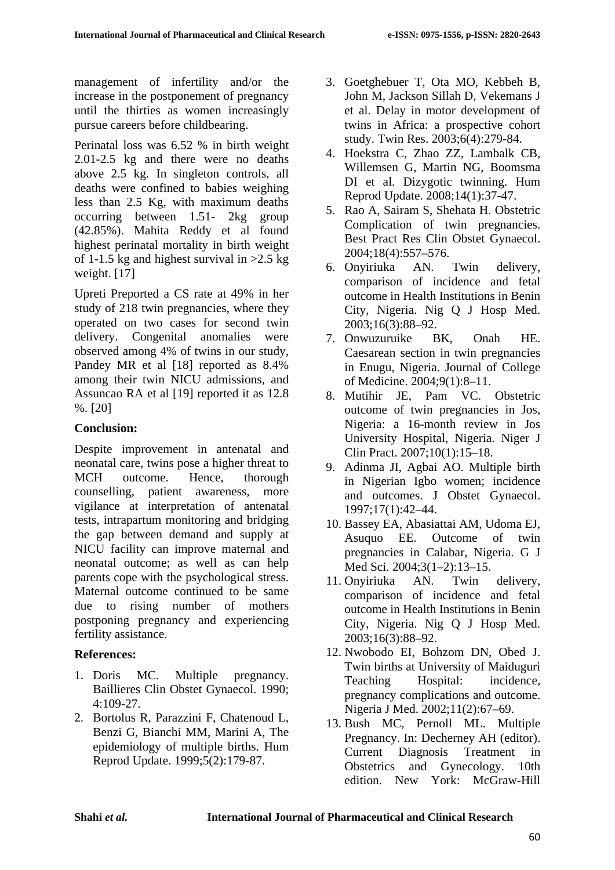management of infertility and/or the increase in the postponement of pregnancy until the thirties as women increasingly pursue careers before childbearing.

Perinatal loss was 6.52 % in birth weight 2.01-2.5 kg and there were no deaths above 2.5 kg. In singleton controls, all deaths were confined to babies weighing less than 2.5 Kg, with maximum deaths occurring between 1.51- 2kg group (42.85%). Mahita Reddy et al found highest perinatal mortality in birth weight of 1-1.5 kg and highest survival in  $>2.5$  kg weight. [17]

Upreti Preported a CS rate at 49% in her study of 218 twin pregnancies, where they operated on two cases for second twin delivery. Congenital anomalies were observed among 4% of twins in our study, Pandey MR et al [18] reported as 8.4% among their twin NICU admissions, and Assuncao RA et al [19] reported it as 12.8 %. [20]

## **Conclusion:**

Despite improvement in antenatal and neonatal care, twins pose a higher threat to MCH outcome. Hence, thorough counselling, patient awareness, more vigilance at interpretation of antenatal tests, intrapartum monitoring and bridging the gap between demand and supply at NICU facility can improve maternal and neonatal outcome; as well as can help parents cope with the psychological stress. Maternal outcome continued to be same due to rising number of mothers postponing pregnancy and experiencing fertility assistance.

## **References:**

- 1. Doris MC. Multiple pregnancy. Baillieres Clin Obstet Gynaecol. 1990; 4:109-27.
- 2. Bortolus R, Parazzini F, Chatenoud L, Benzi G, Bianchi MM, Marini A, The epidemiology of multiple births. Hum Reprod Update. 1999;5(2):179-87.
- 3. Goetghebuer T, Ota MO, Kebbeh B, John M, Jackson Sillah D, Vekemans J et al. Delay in motor development of twins in Africa: a prospective cohort study. Twin Res. 2003;6(4):279-84.
- 4. Hoekstra C, Zhao ZZ, Lambalk CB, Willemsen G, Martin NG, Boomsma DI et al. Dizygotic twinning. Hum Reprod Update. 2008;14(1):37-47.
- 5. Rao A, Sairam S, Shehata H. Obstetric Complication of twin pregnancies. Best Pract Res Clin Obstet Gynaecol. 2004;18(4):557–576.
- 6. Onyiriuka AN. Twin delivery, comparison of incidence and fetal outcome in Health Institutions in Benin City, Nigeria. Nig Q J Hosp Med. 2003;16(3):88–92.
- 7. Onwuzuruike BK, Onah HE. Caesarean section in twin pregnancies in Enugu, Nigeria. Journal of College of Medicine. 2004;9(1):8–11.
- 8. Mutihir JE, Pam VC. Obstetric outcome of twin pregnancies in Jos, Nigeria: a 16-month review in Jos University Hospital, Nigeria. Niger J Clin Pract. 2007;10(1):15–18.
- 9. Adinma JI, Agbai AO. Multiple birth in Nigerian Igbo women; incidence and outcomes. J Obstet Gynaecol. 1997;17(1):42–44.
- 10. Bassey EA, Abasiattai AM, Udoma EJ, Asuquo EE. Outcome of twin pregnancies in Calabar, Nigeria. G J Med Sci. 2004;3(1–2):13–15.
- 11. Onyiriuka AN. Twin delivery, comparison of incidence and fetal outcome in Health Institutions in Benin City, Nigeria. Nig Q J Hosp Med. 2003;16(3):88–92.
- 12. Nwobodo EI, Bohzom DN, Obed J. Twin births at University of Maiduguri Teaching Hospital: incidence, pregnancy complications and outcome. Nigeria J Med. 2002;11(2):67–69.
- 13. Bush MC, Pernoll ML. Multiple Pregnancy. In: Decherney AH (editor). Current Diagnosis Treatment in Obstetrics and Gynecology. 10th edition. New York: McGraw-Hill